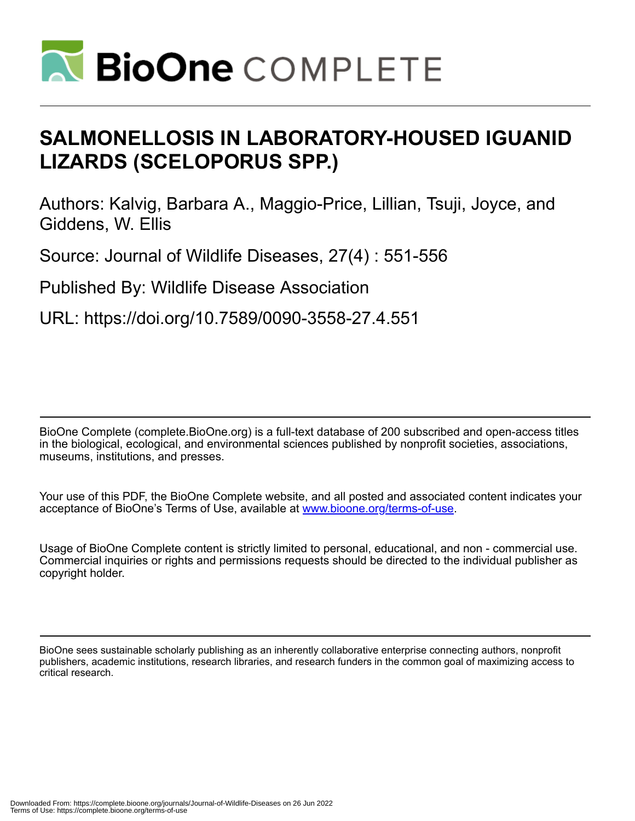

# **SALMONELLOSIS IN LABORATORY-HOUSED IGUANID LIZARDS (SCELOPORUS SPP.)**

Authors: Kalvig, Barbara A., Maggio-Price, Lillian, Tsuji, Joyce, and Giddens, W. Ellis

Source: Journal of Wildlife Diseases, 27(4) : 551-556

Published By: Wildlife Disease Association

URL: https://doi.org/10.7589/0090-3558-27.4.551

BioOne Complete (complete.BioOne.org) is a full-text database of 200 subscribed and open-access titles in the biological, ecological, and environmental sciences published by nonprofit societies, associations, museums, institutions, and presses.

Your use of this PDF, the BioOne Complete website, and all posted and associated content indicates your acceptance of BioOne's Terms of Use, available at www.bioone.org/terms-of-use.

Usage of BioOne Complete content is strictly limited to personal, educational, and non - commercial use. Commercial inquiries or rights and permissions requests should be directed to the individual publisher as copyright holder.

BioOne sees sustainable scholarly publishing as an inherently collaborative enterprise connecting authors, nonprofit publishers, academic institutions, research libraries, and research funders in the common goal of maximizing access to critical research.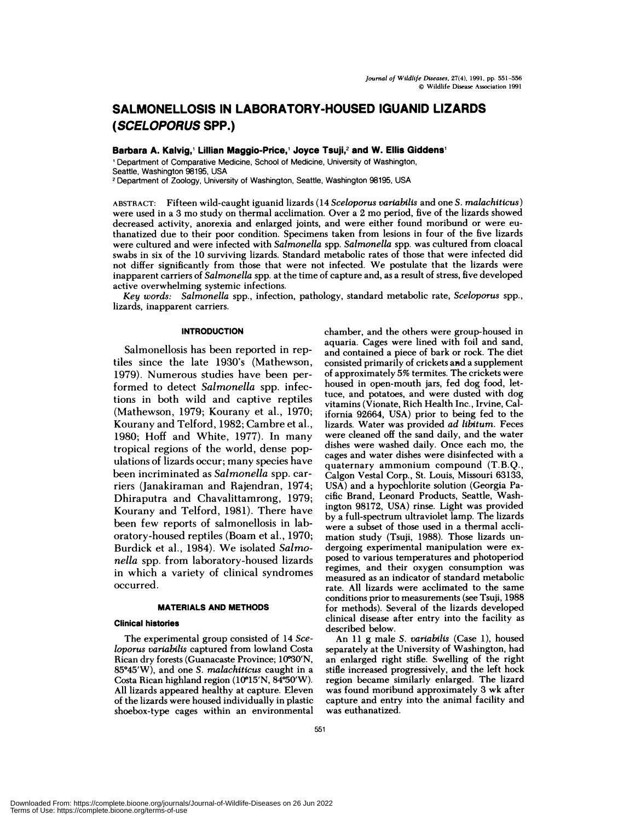## **SALMONELLOSIS IN LABORATORY-HOUSED IGUANID LIZARDS (SCELOPORUS SPP.)**

**Barbara A. Kalvig, Lillian Maggio-Price,' Joyce Tsuji,2 and W. Ellis Giddens1**

'Department of Comparative Medicine, School of Medicine, University of Washington, Seattle, Washington 98195, USA

<sup>2</sup> Department of Zoology, University of Washington, Seattle, Washington 98195, USA

ABSTRACT: Fifteen wild-caught iguanid lizards (14 *Sceloporus varlabilis* and oneS. *rnalachlticus)* were used in a 3 mo study on thermal acclimation. Over a 2 mo period, five of the lizards showed decreased activity, anorexia and enlarged joints, and were either found moribund or were euthanatized due to their poor condition. Specimens taken from lesions in four of the five lizards were cultured and were infected with *Salmonella* spp. *Salmonella* spp. was cultured from cloacal swabs in six of the 10 surviving lizards. Standard metabolic rates of those that were infected did not differ significantly from those that were not infected. We postulate that the lizards were inapparent carriers of *Salmonella* spp. at the time of capture and, as a result of stress, five developed active overwhelming systemic infections.

*Key words: Salmonella* spp., infection, pathology, standard metabolic rate, *Sceloporus* spp., lizards, inapparent carriers.

## **INTRODUCTION**

Salmonellosis has been reported in reptiles since the late 1930's (Mathewson, 1979). Numerous studies have been performed to detect *Salmonella* spp. infections in both wild and captive reptiles (Mathewson, 1979; Kourany et al., 1970; Kourany and Telford, 1982; Cambre et al., 1980; Hoff and White, 1977). In many tropical regions of the world, dense populations of lizards occur; many species have been incriminated as *Salmonella* spp. carriers (Janakiraman and Rajendran, 1974; Dhiraputra and Chavalittamrong, 1979; Kourany and Telford, 1981). There have been few reports of salmonellosis in laboratory-housed reptiles (Boam et al., 1970; Burdick et al., 1984). We isolated *Salmonella* spp. from laboratory-housed lizards in which a variety of clinical syndromes occurred.

## **MATERIALS AND METHODS**

### **Clinical histories**

The experimental group consisted of 14 *Sceloporus variabilis* captured from lowland Costa Rican dry forests (Guanacaste Province; 10°30'N, 85#{176}45'W), and one *S. malachiticus* caught in a Costa Rican highland region ( $10^{\circ}15'N$ ,  $84^{\circ}50'W$ ). All lizards appeared healthy at capture. Eleven of the lizards were housed individually in plastic shoebox-type cages within an environmental chamber, and the others were group-housed in aquaria. Cages were lined with foil and sand, and contained a piece of bark or rock. The diet consisted primarily of crickets and a supplement of approximately 5% termites. The crickets were housed in open-mouth jars, fed dog food, lettuce, and potatoes, and were dusted with dog vitamins (Vionate, Rich Health Inc., Irvine, California 92664, USA) prior to being fed to the lizards. Water was provided *ad libitum.* Feces were cleaned off the sand daily, and the water dishes were washed daily. Once each mo, the cages and water dishes were disinfected with a quaternary ammonium compound (T.B.Q., Calgon Vestal Corp., St. Louis, Missouri 63133, USA) and a hypochlorite solution (Georgia Pa cific Brand, Leonard Products, Seattle, Washington 98172, USA) rinse. Light was provided by a full-spectrum ultraviolet lamp. The lizards were a subset of those used in a thermal accli mation study (Tsuji, 1988). Those lizards un dergoing experimental manipulation were ex posed to various temperatures and photoperiod regimes, and their oxygen consumption was measured as an indicator of standard metabolic rate. All lizards were acclimated to the same conditions prior to measurements (see Tsuji, 1988 for methods). Several of the lizards developed clinical disease after entry into the facility as described below.

An 11 g male *S. variabills* (Case 1), housed separately at the University of Washington, had an enlarged right stifle. Swelling of the right stifle increased progressively, and the left hock region became similarly enlarged. The lizard was found moribund approximately 3 wk after capture and entry into the animal facility and was euthanatized.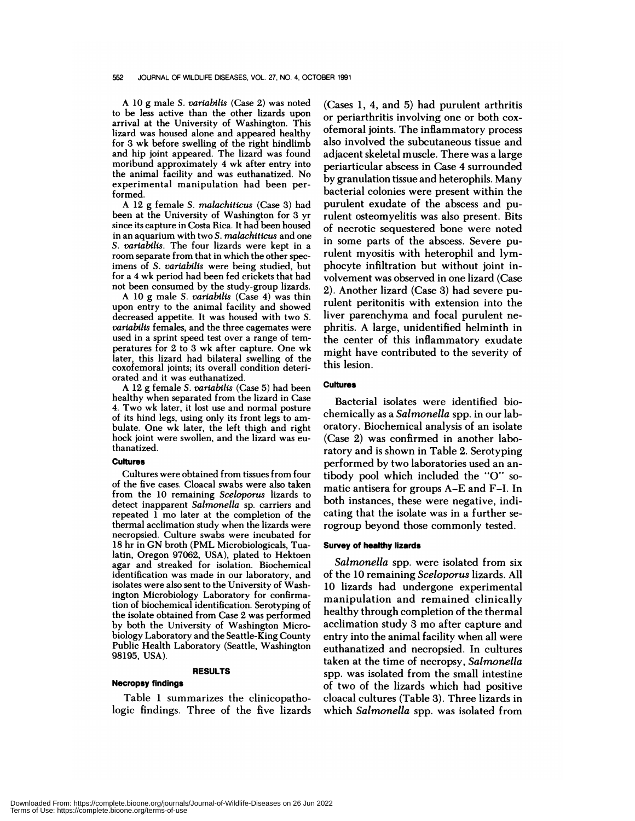#### 552 JOURNAL OF WILDLIFE DISEASES, VOL. 27, NO. 4, OCTOBER 1991

A 10 g male *S. varlabills* (Case 2) was noted to be less active than the other lizards upon arrival at the University of Washington. This lizard was housed alone and appeared healthy for 3 wk before swelling of the right hindlimb and hip joint appeared. The lizard was found moribund approximately 4 wk after entry into the animal facility and was euthanatized. No experimental manipulation had been performed.

A 12g female *S. malachiticus* (Case 3) had been at the University of Washington for 3 yr since its capture in Costa Rica. It had been housed in an aquarium with two *S.malachiticus* and one *S. varlabilia.* The four lizards were kept in a room separate from that in which the other specimens of *S. varlabills* were being studied, but for a 4 wk period had been fed crickets that had not been consumed by the study-group lizards.

A 10g male *S. variabilis* (Case 4) was thin upon entry to the animal facility and showed decreased appetite. It was housed with two *S. variabills* females, and the three cagemates were used in a sprint speed test over a range of tem peratures for 2 to 3 wk after capture. One wk later, this lizard had bilateral swelling of the coxofemoral joints; its overall condition deteri orated and it was euthanatized.

A 12g female *S. varlabilis* (Case 5) had been healthy when separated from the lizard in Case 4. Two wk later, it lost use and normal posture of its hind legs, using only its front legs to am bulate. One wk later, the left thigh and right hock joint were swollen, and the lizard was euthanatized.

## Cultures

Cultures were obtained from tissues from four of the five cases. Cloacal swabs were also taken from the 10 remaining *Sceloporus* lizards to detect inapparent *Salmonella* sp. carriers and repeated 1 mo later at the completion of the thermal acclimation study when the lizards were necropsied. Culture swabs were incubated for 18 hr in GN broth (PML Microbiologicals, Tualatin, Oregon 97062, USA), plated to Hektoen agar and streaked for isolation. Biochemical identification was made in our laboratory, and isolates were also sent to the University of Washington Microbiology Laboratory for confirmation of biochemical identification. Serotyping of the isolate obtained from Case 2 was performed by both the University of Washington Microbiology Laboratory and the Seattle-King County Public Health Laboratory (Seattle, Washington 98195, USA).

## **RESULTS**

## **Necropsy findings**

Table 1 summarizes the clinicopathologic findings. Three of the five lizards

 $(Cases 1, 4, and 5)$  had purulent arthritis or periarthritis involving one or both cox ofemoral joints. The inflammatory process also involved the subcutaneous tissue and adjacent skeletal muscle. There was a large periarticular abscess in Case 4 surrounded by granulation tissue and heterophils. Many bacterial colonies were present within the purulent exudate of the abscess and purulent osteomyelitis was also present. Bits of necrotic sequestered bone were noted in some parts of the abscess. Severe purulent myositis with heterophil and lymphocyte infiltration but without joint involvement was observed in one lizard (Case 2). Another lizard (Case 3) had severe purulent peritonitis with extension into the liver parenchyma and focal purulent ne phritis. A large, unidentified helminth in the center of this inflammatory exudate might have contributed to the severity of this lesion.

## **Cultures**

Bacterial isolates were identified biochemically as a *Salmonella* spp. in our laboratory. Biochemical analysis of an isolate (Case 2) was confirmed in another laboratory and is shown in Table 2. Serotyping performed by two laboratories used an antibody pool which included the "0" so matic antisera for groups A-E and F-I. In both instances, these were negative, indicating that the isolate was in a further serogroup beyond those commonly tested.

## **Survey of healthy lizards**

*Salmonella* spp. were isolated from six of the 10 remaining *Sceloporus* lizards. All 10 lizards had undergone experimental manipulation and remained clinically healthy through completion of the thermal acclimation study 3 mo after capture and entry into the animal facility when all were euthanatized and necropsied. In cultures taken at the time of necropsy, *Salmonella* spp. was isolated from the small intestine of two of the lizards which had positive cloacal cultures (Table 3). Three lizards in which *Salmonella* spp. was isolated from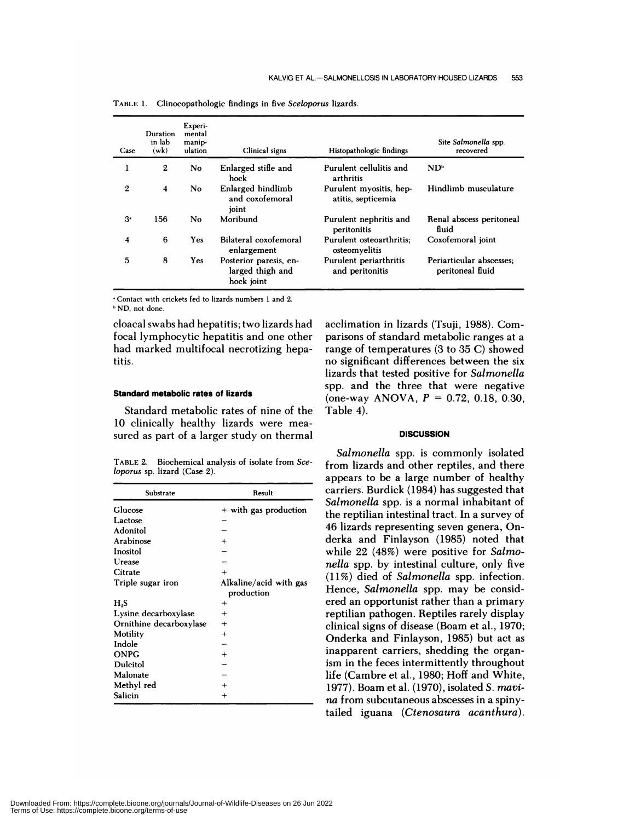| Case           | Duration<br>in lab<br>(wk) | Experi-<br>mental<br>manip-<br>ulation | Clinical signs                                           | Histopathologic findings                      | Site Salmonella spp.<br>recovered            |
|----------------|----------------------------|----------------------------------------|----------------------------------------------------------|-----------------------------------------------|----------------------------------------------|
|                | $\boldsymbol{2}$           | N <sub>o</sub>                         | Enlarged stifle and<br>hock                              | Purulent cellulitis and<br>arthritis          | $ND^b$                                       |
| $\mathbf{2}$   | $\overline{\mathbf{4}}$    | No                                     | Enlarged hindlimb<br>and coxofemoral<br>joint            | Purulent myositis, hep-<br>atitis, septicemia | Hindlimb musculature                         |
| 3 <sup>°</sup> | 156                        | No                                     | Moribund                                                 | Purulent nephritis and<br>peritonitis         | Renal abscess peritoneal<br>fluid            |
| 4              | 6                          | Yes                                    | Bilateral coxofemoral<br>enlargement                     | Purulent osteoarthritis:<br>osteomyelitis     | Coxofemoral joint                            |
| 5              | 8                          | Yes                                    | Posterior paresis, en-<br>larged thigh and<br>hock joint | Purulent periarthritis<br>and peritonitis     | Periarticular abscesses:<br>peritoneal fluid |

TABLE 1. Clinocopathologic findings in five *Sceloporus* lizards.

'Contact with crickets fed to lizards numbers 1 and 2. ND, not done.

cloacal swabs had hepatitis; two lizards had focal lymphocytic hepatitis and one other had marked multifocal necrotizing hepatitis.

## Standard metabolic **rates of lizards**

Standard metabolic rates of nine of the 10 clinically healthy lizards were mea sured as part of a larger study on thermal

TABLE 2. Biochemical analysis of isolate from *Sceloporus* sp. lizard (Case 2).

| Substrate               | Result                 |  |  |
|-------------------------|------------------------|--|--|
| Glucose                 | + with gas production  |  |  |
| Lactose                 |                        |  |  |
| Adonitol                |                        |  |  |
| Arabinose               | $\ddot{}$              |  |  |
| Inositol                |                        |  |  |
| Urease                  |                        |  |  |
| Citrate                 | $\ddot{}$              |  |  |
| Triple sugar iron       | Alkaline/acid with gas |  |  |
|                         | production             |  |  |
| H <sub>2</sub> S        | +                      |  |  |
| Lysine decarboxylase    | $\ddot{}$              |  |  |
| Ornithine decarboxylase | $\ddot{}$              |  |  |
| Motility                | $\,{}^+$               |  |  |
| Indole                  |                        |  |  |
| <b>ONPG</b>             | $\,{}^+$               |  |  |
| <b>Dulcitol</b>         |                        |  |  |
| Malonate                |                        |  |  |
| Methyl red              |                        |  |  |
| Salicin                 | $\ddot{}$              |  |  |

acclimation in lizards (Tsuji, 1988). Comparisons of standard metabolic ranges at a range of temperatures (3 to 35 C) showed no significant differences between the six lizards that tested positive for *Salmonella* spp. and the three that were negative (one-way ANOVA, *P* **<sup>=</sup>** 0.72, 0.18, 0.30, Table 4).

## **DISCUSSION**

*Salmonella* spp. is commonly isolated from lizards and other reptiles, and there appears to be a large number of healthy carriers. Burdick (1984) has suggested that *Salmonella* spp. is a normal inhabitant of the reptilian intestinal tract. In a survey of 46 lizards representing seven genera, Onderka and Finlayson (1985) noted that while 22 (48%) were positive for *Salmonella* spp. by intestinal culture, only five (11%) died of *Salmonella* spp. infection. Hence, *Salmonella* spp. may be considered an opportunist rather than a primary reptilian pathogen. Reptiles rarely display clinical signs of disease (Boam et al., 1970; Onderka and Finlayson, 1985) but act as inapparent carriers, shedding the organism in the feces intermittently throughout life (Cambre et al., 1980; Hoff and White, 1977). Boam et al.(1970), isolated *S. rnavi na* from subcutaneous abscesses in a spinytailed iguana *(Ctenosaura acanthura).*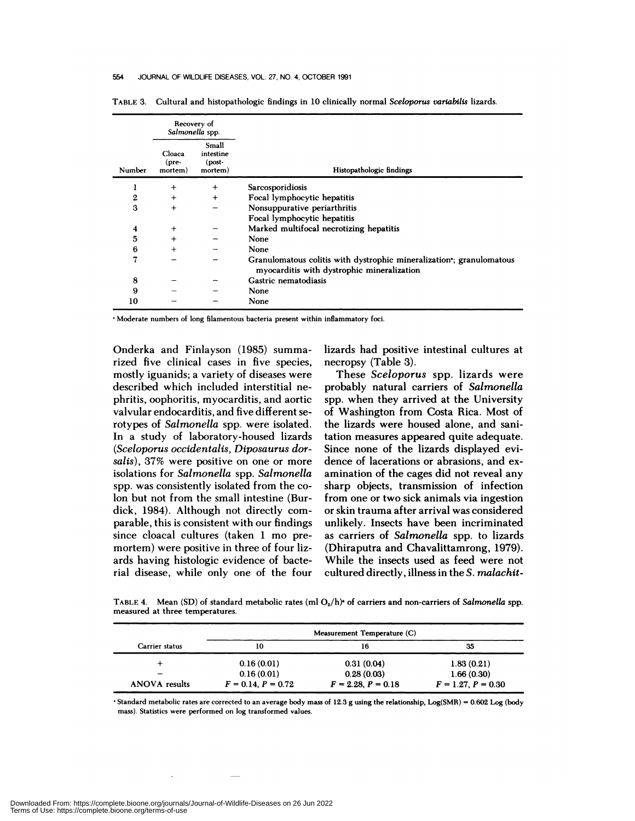#### 554 JOURNAL OF WILDLIFE DISEASES, VOL. 27, NO. 4, OCTOBER 1991

|                  |                                    | Recovery of<br>Salmonella spp.            |                                                                                                                   |
|------------------|------------------------------------|-------------------------------------------|-------------------------------------------------------------------------------------------------------------------|
| Number           | Cloaca<br>$(\text{pre}$<br>mortem) | Small<br>intestine<br>$(post-$<br>mortem) | Histopathologic findings                                                                                          |
| ı                | $^{+}$                             | $+$                                       | Sarcosporidiosis                                                                                                  |
| $\boldsymbol{2}$ | $+$                                | $+$                                       | Focal lymphocytic hepatitis                                                                                       |
| 3                | $+$                                |                                           | Nonsuppurative periarthritis                                                                                      |
|                  |                                    |                                           | Focal lymphocytic hepatitis                                                                                       |
| 4                | $\ddot{}$                          |                                           | Marked multifocal necrotizing hepatitis                                                                           |
| 5                | $+$                                |                                           | None                                                                                                              |
| 6                | $\ddot{}$                          |                                           | None                                                                                                              |
| 7                |                                    |                                           | Granulomatous colitis with dystrophic mineralization, granulomatous<br>myocarditis with dystrophic mineralization |
| 8                |                                    |                                           | Gastric nematodiasis                                                                                              |
| 9                |                                    |                                           | None                                                                                                              |
| 10               |                                    |                                           | None                                                                                                              |

TABLE 3. Cultural and histopathologic findings in 10 clinically normal *Sceloporus varlabills* lizards.

Moderate numbers of long filamentous bacteria present within inflammatory foci.

Onderka and Finlayson (1985) summarized five clinical cases in five species, mostly iguanids; a variety of diseases were described which included interstitial ne phritis, oophoritis, myocarditis, and aortic valvular endocarditis, and five different serotypes of *Salmonella* spp. were isolated. In a study of laboratory-housed lizards *(Sceloporus occidentalis, Diposaurus dorsalis),* 37% were positive on one or more isolations for *Salmonella* spp. *Salmonella* spp. was consistently isolated from the colon but not from the small intestine (Burdick, 1984). Although not directly com parable, this is consistent with our findings since cloacal cultures (taken 1 mo premortem) were positive in three of four lizards having histologic evidence of bacterial disease, while only one of the four lizards had positive intestinal cultures at necropsy (Table 3).

These *Sceloporus* spp. lizards were probably natural carriers of *Salmonella* spp. when they arrived at the University of Washington from Costa Rica. Most of the lizards were housed alone, and sanitation measures appeared quite adequate. Since none of the lizards displayed evidence of lacerations or abrasions, and ex amination of the cages did not reveal any sharp objects, transmission of infection from one or two sick animals via ingestion or skin trauma after arrival was considered unlikely. Insects have been incriminated as carriers of *Salmonella* spp. to lizards (Dhiraputra and Chavalittamrong, 1979). While the insects used as feed were not cultured directly, illness in the *S. malachit-*

TABLE 4. Mean (SD) of standard metabolic rates (ml O<sub>2</sub>/h)<sup>\*</sup> of carriers and non-carriers of *Salmonella* spp. measured at three temperatures.

|                      | Measurement Temperature (C) |                      |                      |  |  |
|----------------------|-----------------------------|----------------------|----------------------|--|--|
| Carrier status       | 10                          | 16                   | 35                   |  |  |
|                      | 0.16(0.01)                  | 0.31(0.04)           | 1.83(0.21)           |  |  |
|                      | 0.16(0.01)                  | 0.28(0.03)           | 1.66(0.30)           |  |  |
| <b>ANOVA</b> results | $F = 0.14, P = 0.72$        | $F = 2.28, P = 0.18$ | $F = 1.27, P = 0.30$ |  |  |

Standard metabolic rates are corrected to an average body mass of 12.3 g using the relationship, Log(SMR) = 0.602 Log (body mass). Statistics were performed on log transformed values.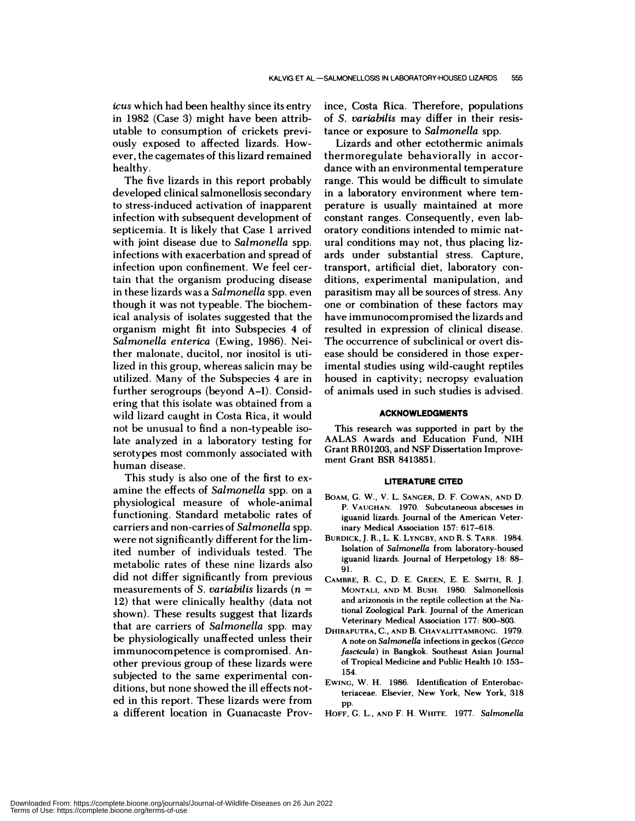*icus* which had been healthy since its entry in 1982 (Case 3) might have been attributable to consumption of crickets previously exposed to affected lizards. How ever, the cagemates of this lizard remained healthy.

The five lizards in this report probably developed clinical salmonellosis secondary to stress-induced activation of inapparent infection with subsequent development of septicemia. It is likely that Case 1 arrived with joint disease due to *Salmonella* spp. infections with exacerbation and spread of infection upon confinement. We feel certain that the organism producing disease in these lizards was a *Salmonella* spp. even though it was not typeable. The biochemical analysis of isolates suggested that the organism might fit into Subspecies 4 of *Salmonella enterica* (Ewing, 1986). Neither malonate, ducitol, nor inositol is utilized in this group, whereas salicin may be utilized. Many of the Subspecies 4 are in further serogroups (beyond A-I). Considering that this isolate was obtained from a wild lizard caught in Costa Rica, it would not be unusual to find a non-typeable isolate analyzed in a laboratory testing for serotypes most commonly associated with human disease.

This study is also one of the first to ex amine the effects of *Salmonella* spp. on a physiological measure of whole-animal functioning. Standard metabolic rates of carriers and non-carries of *Salmonella* spp. were not significantly different for the limited number of individuals tested. The metabolic rates of these nine lizards also did not differ significantly from previous measurements of *S. variabilis* lizards *(n* **<sup>=</sup>** 12) that were clinically healthy (data not shown). These results suggest that lizards that are carriers of *Salmonella* spp. may be physiologically unaffected unless their immunocompetence is compromised. Another previous group of these lizards were subjected to the same experimental con ditions, but none showed the ill effects noted in this report. These lizards were from a different location in Guanacaste Province, Costa Rica. Therefore, populations of *S. variabilis* may differ in their resistance or exposure to *Salmonella* spp.

Lizards and other ectothermic animals thermoregulate behaviorally in accor dance with an environmental temperature range. This would be difficult to simulate in a laboratory environment where temperature is usually maintained at more constant ranges. Consequently, even laboratory conditions intended to mimic natural conditions may not, thus placing lizards under substantial stress. Capture, transport, artificial diet, laboratory con ditions, experimental manipulation, and parasitism may all be sources of stress. Any one or combination of these factors may have immunocompromised the lizards and resulted in expression of clinical disease. The occurrence of subclinical or overt dis ease should be considered in those experimental studies using wild-caught reptiles housed in captivity; necropsy evaluation of animals used in such studies is advised.

## **ACKNOWLEDGMENTS**

This research was supported in part by the AALAS Awards and Education Fund, NIH Grant RR01203, and NSF Dissertation Improve ment Grant BSR 8413851.

#### **LITERATURE CITED**

- **BOAM,** G. W., V. L. SANGER, D. F. **COWAN, AND** D. P. VAUGHAN. 1970. Subcutaneous abscesses in iguanid lizards. Journal of the American Veterinary Medical Association 157: 617-618.
- BURDICK, J. R., L. K. LYNGBY, AND R. S. TARR. 1984. Isolation of *Salmonella* from laboratory-housed iguanid lizards. Journal of Herpetology 18: 88- 91.
- CAMBRE, R. C., D. E. GREEN, E. E. SMITH, R. J. **MONTALI, AND** M. BUSH. 1980. Salmonellosis and arizonosis in the reptile collection at the National Zoological Park. Journal of the American Veterinary Medical Association 177: 800-803.
- DHIRAPUTRA, C., AND B. CHAVALITTAMRONG. 1979. A note on *Salmonella* infections in geckos *(Gecco fascicula)* in Bangkok. Southeast Asian Journal of Tropical Medicine and Public Health 10: 153- 154.
- pp. EWING, W. H. 1986. Identification of Enterobacteriaceae. Elsevier, New York, New York, 318
- HOFF, G. L., **AND** F. H. WHITE. 1977. *Salmonella*